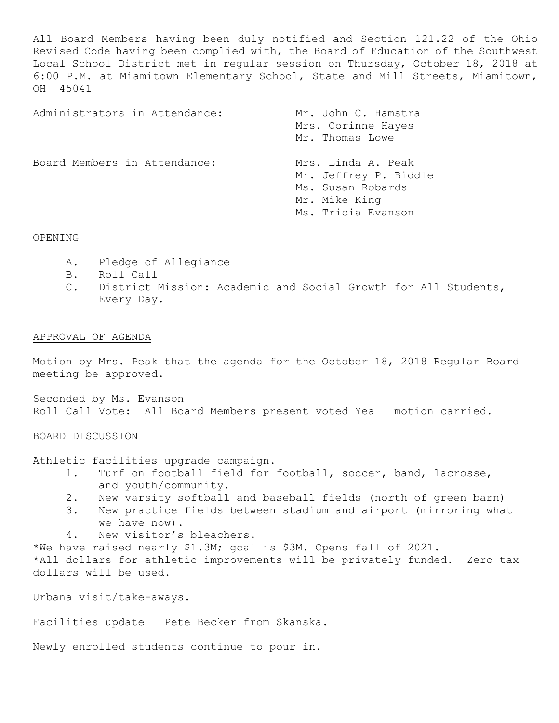All Board Members having been duly notified and Section 121.22 of the Ohio Revised Code having been complied with, the Board of Education of the Southwest Local School District met in regular session on Thursday, October 18, 2018 at 6:00 P.M. at Miamitown Elementary School, State and Mill Streets, Miamitown, OH 45041

| Administrators in Attendance: | Mr. John C. Hamstra<br>Mrs. Corinne Hayes<br>Mr. Thomas Lowe                                            |  |  |
|-------------------------------|---------------------------------------------------------------------------------------------------------|--|--|
| Board Members in Attendance:  | Mrs. Linda A. Peak<br>Mr. Jeffrey P. Biddle<br>Ms. Susan Robards<br>Mr. Mike King<br>Ms. Tricia Evanson |  |  |

# OPENING

- A. Pledge of Allegiance
- B. Roll Call
- C. District Mission: Academic and Social Growth for All Students, Every Day.

# APPROVAL OF AGENDA

Motion by Mrs. Peak that the agenda for the October 18, 2018 Regular Board meeting be approved.

Seconded by Ms. Evanson Roll Call Vote: All Board Members present voted Yea – motion carried.

# BOARD DISCUSSION

Athletic facilities upgrade campaign.

- 1. Turf on football field for football, soccer, band, lacrosse, and youth/community.
- 2. New varsity softball and baseball fields (north of green barn)
- 3. New practice fields between stadium and airport (mirroring what we have now).
- 4. New visitor's bleachers.

\*We have raised nearly \$1.3M; goal is \$3M. Opens fall of 2021. \*All dollars for athletic improvements will be privately funded. Zero tax dollars will be used.

Urbana visit/take-aways.

Facilities update – Pete Becker from Skanska.

Newly enrolled students continue to pour in.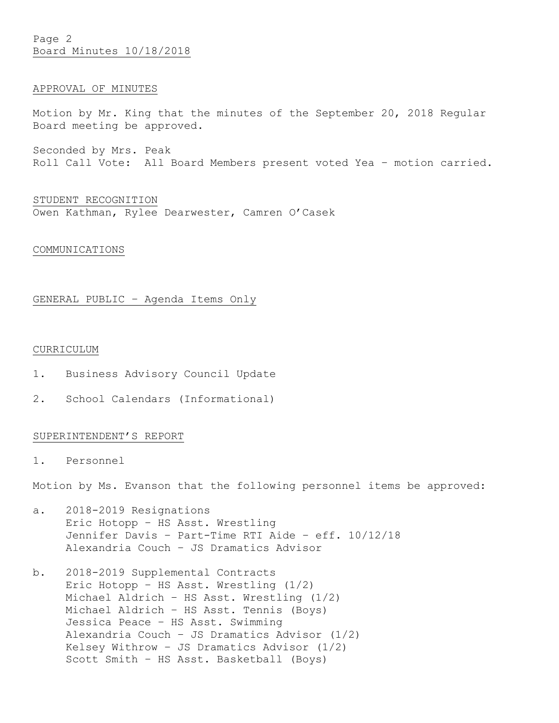Page 2 Board Minutes 10/18/2018

## APPROVAL OF MINUTES

Motion by Mr. King that the minutes of the September 20, 2018 Regular Board meeting be approved.

Seconded by Mrs. Peak Roll Call Vote: All Board Members present voted Yea – motion carried.

STUDENT RECOGNITION Owen Kathman, Rylee Dearwester, Camren O'Casek

## COMMUNICATIONS

## GENERAL PUBLIC – Agenda Items Only

## CURRICULUM

- 1. Business Advisory Council Update
- 2. School Calendars (Informational)

# SUPERINTENDENT'S REPORT

1. Personnel

Motion by Ms. Evanson that the following personnel items be approved:

- a. 2018-2019 Resignations Eric Hotopp – HS Asst. Wrestling Jennifer Davis – Part-Time RTI Aide – eff. 10/12/18 Alexandria Couch – JS Dramatics Advisor
- b. 2018-2019 Supplemental Contracts Eric Hotopp – HS Asst. Wrestling (1/2) Michael Aldrich – HS Asst. Wrestling (1/2) Michael Aldrich – HS Asst. Tennis (Boys) Jessica Peace – HS Asst. Swimming Alexandria Couch – JS Dramatics Advisor (1/2) Kelsey Withrow – JS Dramatics Advisor (1/2) Scott Smith – HS Asst. Basketball (Boys)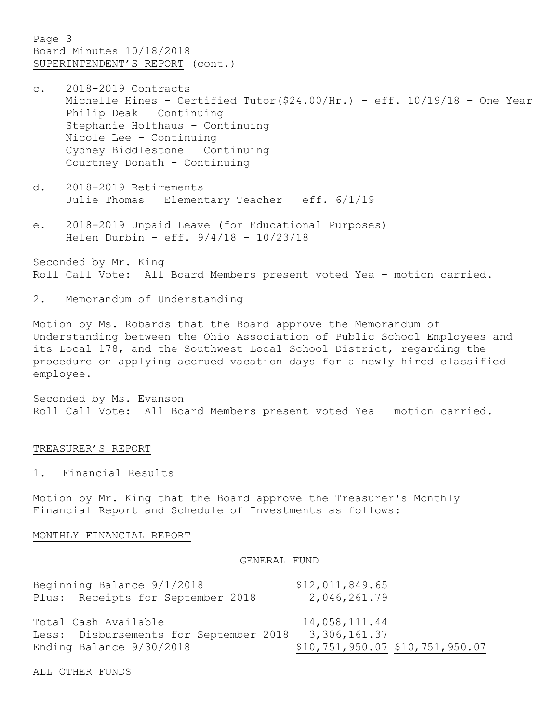Page 3 Board Minutes 10/18/2018 SUPERINTENDENT'S REPORT (cont.)

- c. 2018-2019 Contracts Michelle Hines – Certified Tutor(\$24.00/Hr.) – eff. 10/19/18 – One Year Philip Deak – Continuing Stephanie Holthaus – Continuing Nicole Lee – Continuing Cydney Biddlestone – Continuing Courtney Donath - Continuing
- d. 2018-2019 Retirements Julie Thomas – Elementary Teacher – eff. 6/1/19
- e. 2018-2019 Unpaid Leave (for Educational Purposes) Helen Durbin – eff. 9/4/18 – 10/23/18

Seconded by Mr. King Roll Call Vote: All Board Members present voted Yea – motion carried.

2. Memorandum of Understanding

Motion by Ms. Robards that the Board approve the Memorandum of Understanding between the Ohio Association of Public School Employees and its Local 178, and the Southwest Local School District, regarding the procedure on applying accrued vacation days for a newly hired classified employee.

Seconded by Ms. Evanson Roll Call Vote: All Board Members present voted Yea – motion carried.

#### TREASURER'S REPORT

1. Financial Results

Motion by Mr. King that the Board approve the Treasurer's Monthly Financial Report and Schedule of Investments as follows:

#### MONTHLY FINANCIAL REPORT

#### GENERAL FUND

| Beginning Balance 9/1/2018                          | \$12,011,849.65                       |
|-----------------------------------------------------|---------------------------------------|
| Plus: Receipts for September 2018                   | 2,046,261.79                          |
| Total Cash Available                                | 14,058,111.44                         |
| Less: Disbursements for September 2018 3,306,161.37 |                                       |
| Ending Balance 9/30/2018                            | $$10, 751, 950.07$ $$10, 751, 950.07$ |

ALL OTHER FUNDS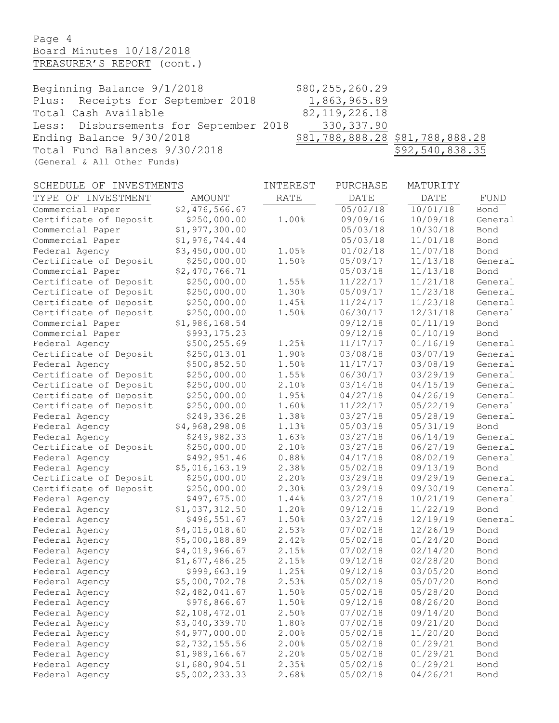# Page 4 Board Minutes 10/18/2018 TREASURER'S REPORT (cont.)

Beginning Balance 9/1/2018 \$80,255,260.29 Plus: Receipts for September 2018 1,863,965.89 Total Cash Available 82,119,226.18 Less: Disbursements for September 2018 330,337.90 Ending Balance  $9/30/2018$   $\frac{$81,788,888.28}{28}$  \$81,788,888.28 Total Fund Balances 9/30/2018 \$92,540,838.35 (General & All Other Funds)

| SCHEDULE OF<br>INVESTMENTS |                | INTEREST    | PURCHASE | MATURITY    |         |
|----------------------------|----------------|-------------|----------|-------------|---------|
| TYPE OF INVESTMENT         | AMOUNT         | <b>RATE</b> | DATE     | <b>DATE</b> | FUND    |
| Commercial Paper           | \$2,476,566.67 |             | 05/02/18 | 10/01/18    | Bond    |
| Certificate of Deposit     | \$250,000.00   | 1.00%       | 09/09/16 | 10/09/18    | General |
| Commercial Paper           | \$1,977,300.00 |             | 05/03/18 | 10/30/18    | Bond    |
| Commercial Paper           | \$1,976,744.44 |             | 05/03/18 | 11/01/18    | Bond    |
| Federal Agency             | \$3,450,000.00 | 1.05%       | 01/02/18 | 11/07/18    | Bond    |
| Certificate of Deposit     | \$250,000.00   | 1.50%       | 05/09/17 | 11/13/18    | General |
| Commercial Paper           | \$2,470,766.71 |             | 05/03/18 | 11/13/18    | Bond    |
| Certificate of Deposit     | \$250,000.00   | 1.55%       | 11/22/17 | 11/21/18    | General |
| Certificate of Deposit     | \$250,000.00   | 1.30%       | 05/09/17 | 11/23/18    | General |
| Certificate of Deposit     | \$250,000.00   | 1.45%       | 11/24/17 | 11/23/18    | General |
| Certificate of Deposit     | \$250,000.00   | 1.50%       | 06/30/17 | 12/31/18    | General |
| Commercial Paper           | \$1,986,168.54 |             | 09/12/18 | 01/11/19    | Bond    |
| Commercial Paper           | \$993,175.23   |             | 09/12/18 | 01/10/19    | Bond    |
| Federal Agency             | \$500,255.69   | 1.25%       | 11/17/17 | 01/16/19    | General |
| Certificate of Deposit     | \$250,013.01   | 1.90%       | 03/08/18 | 03/07/19    | General |
| Federal Agency             | \$500,852.50   | 1.50%       | 11/17/17 | 03/08/19    | General |
| Certificate of Deposit     | \$250,000.00   | 1.55%       | 06/30/17 | 03/29/19    | General |
| Certificate of Deposit     | \$250,000.00   | 2.10%       | 03/14/18 | 04/15/19    | General |
| Certificate of Deposit     | \$250,000.00   | 1.95%       | 04/27/18 | 04/26/19    | General |
| Certificate of Deposit     | \$250,000.00   | 1.60%       | 11/22/17 | 05/22/19    | General |
| Federal Agency             | \$249,336.28   | 1.38%       | 03/27/18 | 05/28/19    | General |
| Federal Agency             | \$4,968,298.08 | 1.13%       | 05/03/18 | 05/31/19    | Bond    |
| Federal Agency             | \$249,982.33   | 1.63%       | 03/27/18 | 06/14/19    | General |
| Certificate of Deposit     | \$250,000.00   | 2.10%       | 03/27/18 | 06/27/19    | General |
| Federal Agency             | \$492,951.46   | 0.88%       | 04/17/18 | 08/02/19    | General |
| Federal Agency             | \$5,016,163.19 | 2.38%       | 05/02/18 | 09/13/19    | Bond    |
| Certificate of Deposit     | \$250,000.00   | 2.20%       | 03/29/18 | 09/29/19    | General |
| Certificate of Deposit     | \$250,000.00   | 2.30%       | 03/29/18 | 09/30/19    | General |
| Federal Agency             | \$497,675.00   | 1.44%       | 03/27/18 | 10/21/19    | General |
| Federal Agency             | \$1,037,312.50 | 1.20%       | 09/12/18 | 11/22/19    | Bond    |
| Federal Agency             | \$496,551.67   | 1.50%       | 03/27/18 | 12/19/19    | General |
| Federal Agency             | \$4,015,018.60 | 2.53%       | 07/02/18 | 12/26/19    | Bond    |
| Federal Agency             | \$5,000,188.89 | 2.42%       | 05/02/18 | 01/24/20    | Bond    |
| Federal Agency             | \$4,019,966.67 | 2.15%       | 07/02/18 | 02/14/20    | Bond    |
| Federal Agency             | \$1,677,486.25 | 2.15%       | 09/12/18 | 02/28/20    | Bond    |
| Federal Agency             | \$999,663.19   | 1.25%       | 09/12/18 | 03/05/20    | Bond    |
| Federal Agency             | \$5,000,702.78 | 2.53%       | 05/02/18 | 05/07/20    | Bond    |
| Federal Agency             | \$2,482,041.67 | 1.50%       | 05/02/18 | 05/28/20    | Bond    |
| Federal Agency             | \$976,866.67   | 1.50%       | 09/12/18 | 08/26/20    | Bond    |
| Federal Agency             | \$2,108,472.01 | 2.50%       | 07/02/18 | 09/14/20    | Bond    |
| Federal Agency             | \$3,040,339.70 | 1.80%       | 07/02/18 | 09/21/20    | Bond    |
| Federal Agency             | \$4,977,000.00 | 2.00%       | 05/02/18 | 11/20/20    | Bond    |
| Federal Agency             | \$2,732,155.56 | 2.00%       | 05/02/18 | 01/29/21    | Bond    |
| Federal Agency             | \$1,989,166.67 | 2.20%       | 05/02/18 | 01/29/21    | Bond    |
| Federal Agency             | \$1,680,904.51 | 2.35%       | 05/02/18 | 01/29/21    | Bond    |
| Federal Agency             | \$5,002,233.33 | 2.68%       | 05/02/18 | 04/26/21    | Bond    |
|                            |                |             |          |             |         |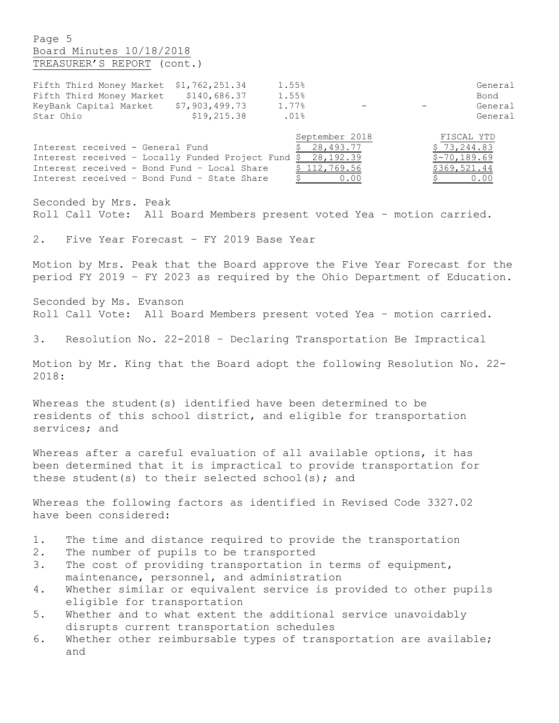Page 5 Board Minutes 10/18/2018 TREASURER'S REPORT (cont.)

| Fifth Third Money Market \$1,762,251.34 |                | 1.55% |                          |     | General |
|-----------------------------------------|----------------|-------|--------------------------|-----|---------|
| Fifth Third Money Market                | \$140,686.37   | 1.55% |                          |     | Bond    |
| KeyBank Capital Market                  | \$7,903,499.73 | 1.77% | $\overline{\phantom{0}}$ | $-$ | General |
| Star Ohio                               | \$19,215.38    | .01%  |                          |     | General |

|                                                              | September 2018 | FISCAL YTD    |
|--------------------------------------------------------------|----------------|---------------|
| Interest received - General Fund                             | \$28,493.77    | \$73,244.83   |
| Interest received - Locally Funded Project Fund $$28,192.39$ |                | $$-70,189.69$ |
| Interest received - Bond Fund - Local Share                  | \$112,769.56   | \$369,521.44  |
| Interest received - Bond Fund - State Share                  | 0.00           | 0.00          |

Seconded by Mrs. Peak Roll Call Vote: All Board Members present voted Yea – motion carried.

2. Five Year Forecast – FY 2019 Base Year

Motion by Mrs. Peak that the Board approve the Five Year Forecast for the period FY 2019 – FY 2023 as required by the Ohio Department of Education.

Seconded by Ms. Evanson Roll Call Vote: All Board Members present voted Yea – motion carried.

3. Resolution No. 22-2018 – Declaring Transportation Be Impractical

Motion by Mr. King that the Board adopt the following Resolution No. 22- 2018:

Whereas the student(s) identified have been determined to be residents of this school district, and eligible for transportation services; and

Whereas after a careful evaluation of all available options, it has been determined that it is impractical to provide transportation for these student(s) to their selected school(s); and

Whereas the following factors as identified in Revised Code 3327.02 have been considered:

- 1. The time and distance required to provide the transportation
- 2. The number of pupils to be transported
- 3. The cost of providing transportation in terms of equipment, maintenance, personnel, and administration
- 4. Whether similar or equivalent service is provided to other pupils eligible for transportation
- 5. Whether and to what extent the additional service unavoidably disrupts current transportation schedules
- 6. Whether other reimbursable types of transportation are available; and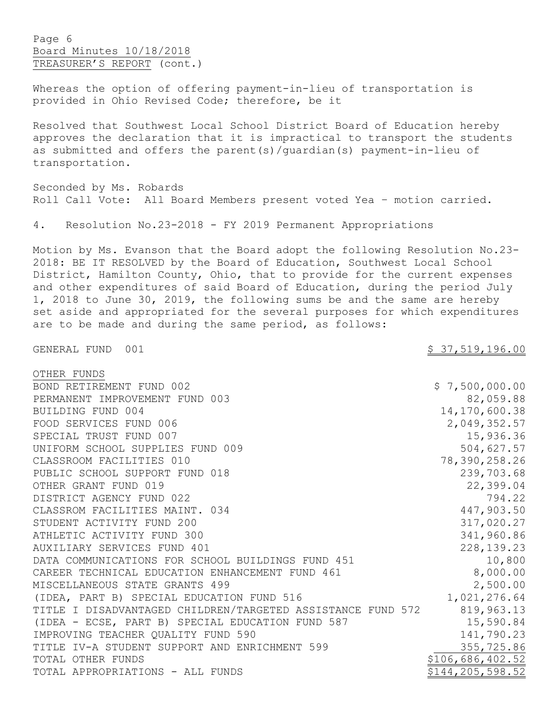Page 6 Board Minutes 10/18/2018 TREASURER'S REPORT (cont.)

Whereas the option of offering payment-in-lieu of transportation is provided in Ohio Revised Code; therefore, be it

Resolved that Southwest Local School District Board of Education hereby approves the declaration that it is impractical to transport the students as submitted and offers the parent(s)/guardian(s) payment-in-lieu of transportation.

Seconded by Ms. Robards Roll Call Vote: All Board Members present voted Yea – motion carried.

4. Resolution No.23-2018 - FY 2019 Permanent Appropriations

Motion by Ms. Evanson that the Board adopt the following Resolution No.23- 2018: BE IT RESOLVED by the Board of Education, Southwest Local School District, Hamilton County, Ohio, that to provide for the current expenses and other expenditures of said Board of Education, during the period July 1, 2018 to June 30, 2019, the following sums be and the same are hereby set aside and appropriated for the several purposes for which expenditures are to be made and during the same period, as follows:

GENERAL FUND 001 37,519,196.00

| OTHER FUNDS                                                 |                    |
|-------------------------------------------------------------|--------------------|
| BOND RETIREMENT FUND 002                                    | \$7,500,000.00     |
| PERMANENT IMPROVEMENT FUND 003                              | 82,059.88          |
| BUILDING FUND 004                                           | 14, 170, 600.38    |
| FOOD SERVICES FUND 006                                      | 2,049,352.57       |
| SPECIAL TRUST FUND 007                                      | 15,936.36          |
| UNIFORM SCHOOL SUPPLIES FUND 009                            | 504,627.57         |
| CLASSROOM FACILITIES 010                                    | 78,390,258.26      |
| PUBLIC SCHOOL SUPPORT FUND 018                              | 239,703.68         |
| OTHER GRANT FUND 019                                        | 22,399.04          |
| DISTRICT AGENCY FUND 022                                    | 794.22             |
| CLASSROM FACILITIES MAINT. 034                              | 447,903.50         |
| STUDENT ACTIVITY FUND 200                                   | 317,020.27         |
| ATHLETIC ACTIVITY FUND 300                                  | 341,960.86         |
| AUXILIARY SERVICES FUND 401                                 | 228, 139. 23       |
| DATA COMMUNICATIONS FOR SCHOOL BUILDINGS FUND 451           | 10,800             |
| CAREER TECHNICAL EDUCATION ENHANCEMENT FUND 461             | 8,000.00           |
| MISCELLANEOUS STATE GRANTS 499                              | 2,500.00           |
| (IDEA, PART B) SPECIAL EDUCATION FUND 516                   | 1,021,276.64       |
| TITLE I DISADVANTAGED CHILDREN/TARGETED ASSISTANCE FUND 572 | 819,963.13         |
| (IDEA - ECSE, PART B) SPECIAL EDUCATION FUND 587            | 15,590.84          |
| IMPROVING TEACHER QUALITY FUND 590                          | 141,790.23         |
| TITLE IV-A STUDENT SUPPORT AND ENRICHMENT 599               | 355,725.86         |
| TOTAL OTHER FUNDS                                           | \$106,686,402.52   |
| TOTAL APPROPRIATIONS - ALL FUNDS                            | \$144, 205, 598.52 |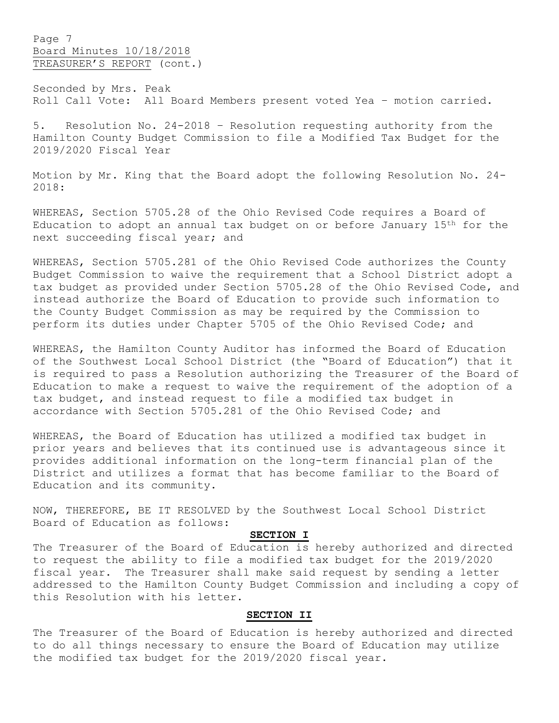Page 7 Board Minutes 10/18/2018 TREASURER'S REPORT (cont.)

Seconded by Mrs. Peak Roll Call Vote: All Board Members present voted Yea – motion carried.

5. Resolution No. 24-2018 – Resolution requesting authority from the Hamilton County Budget Commission to file a Modified Tax Budget for the 2019/2020 Fiscal Year

Motion by Mr. King that the Board adopt the following Resolution No. 24- 2018:

WHEREAS, Section 5705.28 of the Ohio Revised Code requires a Board of Education to adopt an annual tax budget on or before January 15th for the next succeeding fiscal year; and

WHEREAS, Section 5705.281 of the Ohio Revised Code authorizes the County Budget Commission to waive the requirement that a School District adopt a tax budget as provided under Section 5705.28 of the Ohio Revised Code, and instead authorize the Board of Education to provide such information to the County Budget Commission as may be required by the Commission to perform its duties under Chapter 5705 of the Ohio Revised Code; and

WHEREAS, the Hamilton County Auditor has informed the Board of Education of the Southwest Local School District (the "Board of Education") that it is required to pass a Resolution authorizing the Treasurer of the Board of Education to make a request to waive the requirement of the adoption of a tax budget, and instead request to file a modified tax budget in accordance with Section 5705.281 of the Ohio Revised Code; and

WHEREAS, the Board of Education has utilized a modified tax budget in prior years and believes that its continued use is advantageous since it provides additional information on the long-term financial plan of the District and utilizes a format that has become familiar to the Board of Education and its community.

NOW, THEREFORE, BE IT RESOLVED by the Southwest Local School District Board of Education as follows:

# **SECTION I**

The Treasurer of the Board of Education is hereby authorized and directed to request the ability to file a modified tax budget for the 2019/2020 fiscal year. The Treasurer shall make said request by sending a letter addressed to the Hamilton County Budget Commission and including a copy of this Resolution with his letter.

# **SECTION II**

The Treasurer of the Board of Education is hereby authorized and directed to do all things necessary to ensure the Board of Education may utilize the modified tax budget for the 2019/2020 fiscal year.